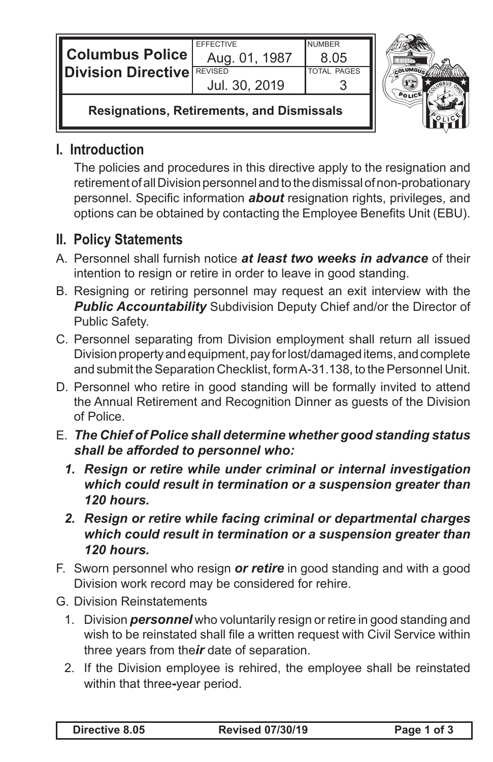| <b>Columbus Police</b><br><b>ⅡDivision Directive</b> 「 | <b>EFFECTIVE</b><br>Aug. 01, 1987<br><b>REVISED</b><br>Jul. 30, 2019 | <b>NUMBER</b><br>8.05<br><b>TOTAL PAGES</b> |  |
|--------------------------------------------------------|----------------------------------------------------------------------|---------------------------------------------|--|
| <b>Resignations, Retirements, and Dismissals</b>       |                                                                      |                                             |  |

## **I. Introduction**

IL

The policies and procedures in this directive apply to the resignation and retirement of all Division personnel and to the dismissal of non-probationary personnel. Specific information *about* resignation rights, privileges, and options can be obtained by contacting the Employee Benefits Unit (EBU).

## **II. Policy Statements**

- A. Personnel shall furnish notice *at least two weeks in advance* of their intention to resign or retire in order to leave in good standing.
- B. Resigning or retiring personnel may request an exit interview with the **Public Accountability** Subdivision Deputy Chief and/or the Director of Public Safety.
- C. Personnel separating from Division employment shall return all issued Division property and equipment, pay for lost/damaged items, and complete and submit the Separation Checklist, form A-31.138, to the Personnel Unit.
- D. Personnel who retire in good standing will be formally invited to attend the Annual Retirement and Recognition Dinner as guests of the Division of Police.
- E. *The Chief of Police shall determine whether good standing status shall be afforded to personnel who:*
	- *1. Resign or retire while under criminal or internal investigation which could result in termination or a suspension greater than 120 hours.*
	- *2. Resign or retire while facing criminal or departmental charges which could result in termination or a suspension greater than 120 hours.*
- F. Sworn personnel who resign *or retire* in good standing and with a good Division work record may be considered for rehire.
- G. Division Reinstatements
	- 1. Division *personnel* who voluntarily resign or retire in good standing and wish to be reinstated shall file a written request with Civil Service within three years from the*ir* date of separation.
	- 2. If the Division employee is rehired, the employee shall be reinstated within that three*-*year period.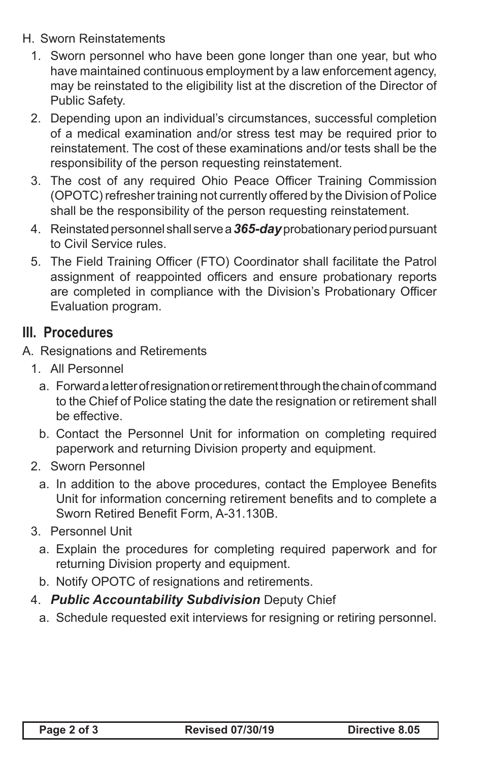- H. Sworn Reinstatements
	- 1. Sworn personnel who have been gone longer than one year, but who have maintained continuous employment by a law enforcement agency, may be reinstated to the eligibility list at the discretion of the Director of Public Safety.
	- 2. Depending upon an individual's circumstances, successful completion of a medical examination and/or stress test may be required prior to reinstatement. The cost of these examinations and/or tests shall be the responsibility of the person requesting reinstatement.
	- 3. The cost of any required Ohio Peace Officer Training Commission (OPOTC) refresher training not currently offered by the Division of Police shall be the responsibility of the person requesting reinstatement.
	- 4. Reinstated personnel shall serve a *365-day* probationary period pursuant to Civil Service rules.
	- 5. The Field Training Officer (FTO) Coordinator shall facilitate the Patrol assignment of reappointed officers and ensure probationary reports are completed in compliance with the Division's Probationary Officer Evaluation program.

## **III. Procedures**

- A. Resignations and Retirements
	- 1. All Personnel
		- a. Forward a letter of resignation or retirement through the chain of command to the Chief of Police stating the date the resignation or retirement shall be effective.
		- b. Contact the Personnel Unit for information on completing required paperwork and returning Division property and equipment.
	- 2. Sworn Personnel
		- a. In addition to the above procedures, contact the Employee Benefits Unit for information concerning retirement benefits and to complete a Sworn Retired Benefit Form, A-31.130B.
	- 3. Personnel Unit
		- a. Explain the procedures for completing required paperwork and for returning Division property and equipment.
		- b. Notify OPOTC of resignations and retirements.
	- 4. *Public Accountability Subdivision* Deputy Chief
		- a. Schedule requested exit interviews for resigning or retiring personnel.